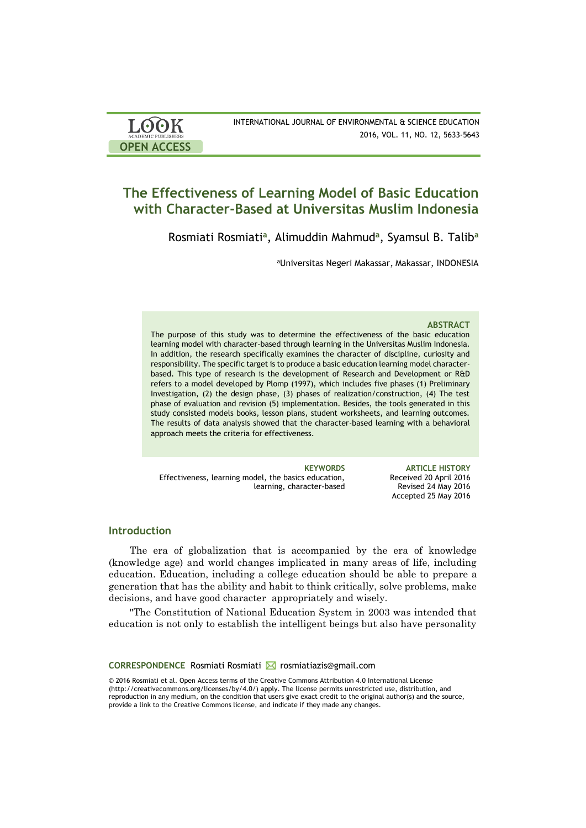| <b>LOOK</b>                | INTERNATIONAL JOURNAL OF ENVIRONMENTAL & SCIENCE EDUCATION |
|----------------------------|------------------------------------------------------------|
| <b>ACADEMIC PUBLISHERS</b> | 2016, VOL. 11, NO. 12, 5633-5643                           |
| <b>OPEN ACCESS</b>         |                                                            |

# **The Effectiveness of Learning Model of Basic Education with Character-Based at Universitas Muslim Indonesia**

Rosmiati Rosmiati**<sup>a</sup>** , Alimuddin Mahmud**<sup>a</sup>** , Syamsul B. Talib**<sup>a</sup>**

<sup>a</sup>Universitas Negeri Makassar, Makassar, INDONESIA

#### **ABSTRACT**

The purpose of this study was to determine the effectiveness of the basic education learning model with character-based through learning in the Universitas Muslim Indonesia. In addition, the research specifically examines the character of discipline, curiosity and responsibility. The specific target is to produce a basic education learning model characterbased. This type of research is the development of Research and Development or R&D refers to a model developed by Plomp (1997), which includes five phases (1) Preliminary Investigation, (2) the design phase, (3) phases of realization/construction, (4) The test phase of evaluation and revision (5) implementation. Besides, the tools generated in this study consisted models books, lesson plans, student worksheets, and learning outcomes. The results of data analysis showed that the character-based learning with a behavioral approach meets the criteria for effectiveness.

Effectiveness, learning model, the basics education, learning, character-based

**KEYWORDS ARTICLE HISTORY** Received 20 April 2016 Revised 24 May 2016 Accepted 25 May 2016

### **Introduction**

The era of globalization that is accompanied by the era of knowledge (knowledge age) and world changes implicated in many areas of life, including education. Education, including a college education should be able to prepare a generation that has the ability and habit to think critically, solve problems, make decisions, and have good character appropriately and wisely.

"The Constitution of National Education System in 2003 was intended that education is not only to establish the intelligent beings but also have personality

**CORRESPONDENCE** Rosmiati Rosmiati **⊠** rosmiatiazis@gmail.com

© 2016 Rosmiati et al. Open Access terms of the Creative Commons Attribution 4.0 International License (http://creativecommons.org/licenses/by/4.0/) apply. The license permits unrestricted use, distribution, and reproduction in any medium, on the condition that users give exact credit to the original author(s) and the source, provide a link to the Creative Commons license, and indicate if they made any changes.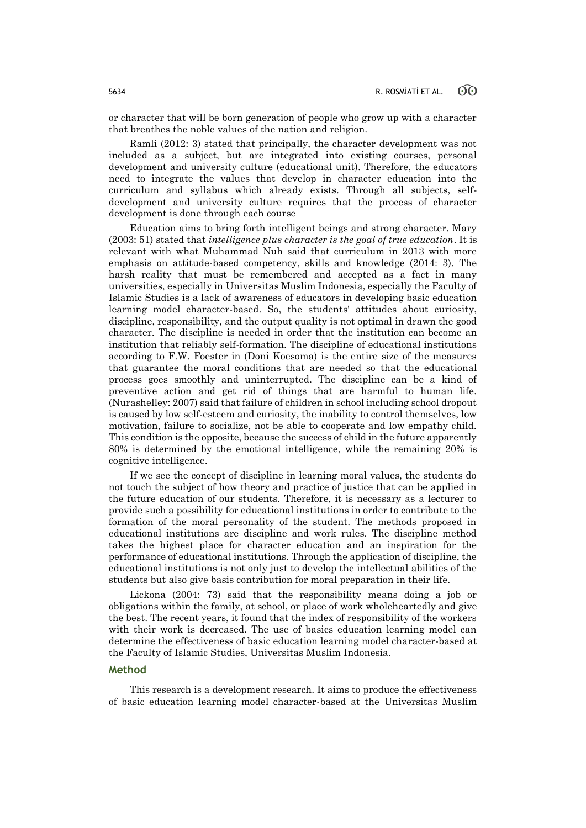or character that will be born generation of people who grow up with a character that breathes the noble values of the nation and religion.

Ramli (2012: 3) stated that principally, the character development was not included as a subject, but are integrated into existing courses, personal development and university culture (educational unit). Therefore, the educators need to integrate the values that develop in character education into the curriculum and syllabus which already exists. Through all subjects, selfdevelopment and university culture requires that the process of character development is done through each course

Education aims to bring forth intelligent beings and strong character. Mary (2003: 51) stated that *intelligence plus character is the goal of true education*. It is relevant with what Muhammad Nuh said that curriculum in 2013 with more emphasis on attitude-based competency, skills and knowledge (2014: 3). The harsh reality that must be remembered and accepted as a fact in many universities, especially in Universitas Muslim Indonesia, especially the Faculty of Islamic Studies is a lack of awareness of educators in developing basic education learning model character-based. So, the students' attitudes about curiosity, discipline, responsibility, and the output quality is not optimal in drawn the good character. The discipline is needed in order that the institution can become an institution that reliably self-formation. The discipline of educational institutions according to F.W. Foester in (Doni Koesoma) is the entire size of the measures that guarantee the moral conditions that are needed so that the educational process goes smoothly and uninterrupted. The discipline can be a kind of preventive action and get rid of things that are harmful to human life. (Nurashelley: 2007) said that failure of children in school including school dropout is caused by low self-esteem and curiosity, the inability to control themselves, low motivation, failure to socialize, not be able to cooperate and low empathy child. This condition is the opposite, because the success of child in the future apparently 80% is determined by the emotional intelligence, while the remaining 20% is cognitive intelligence.

If we see the concept of discipline in learning moral values, the students do not touch the subject of how theory and practice of justice that can be applied in the future education of our students. Therefore, it is necessary as a lecturer to provide such a possibility for educational institutions in order to contribute to the formation of the moral personality of the student. The methods proposed in educational institutions are discipline and work rules. The discipline method takes the highest place for character education and an inspiration for the performance of educational institutions. Through the application of discipline, the educational institutions is not only just to develop the intellectual abilities of the students but also give basis contribution for moral preparation in their life.

Lickona (2004: 73) said that the responsibility means doing a job or obligations within the family, at school, or place of work wholeheartedly and give the best. The recent years, it found that the index of responsibility of the workers with their work is decreased. The use of basics education learning model can determine the effectiveness of basic education learning model character-based at the Faculty of Islamic Studies, Universitas Muslim Indonesia.

#### **Method**

This research is a development research. It aims to produce the effectiveness of basic education learning model character-based at the Universitas Muslim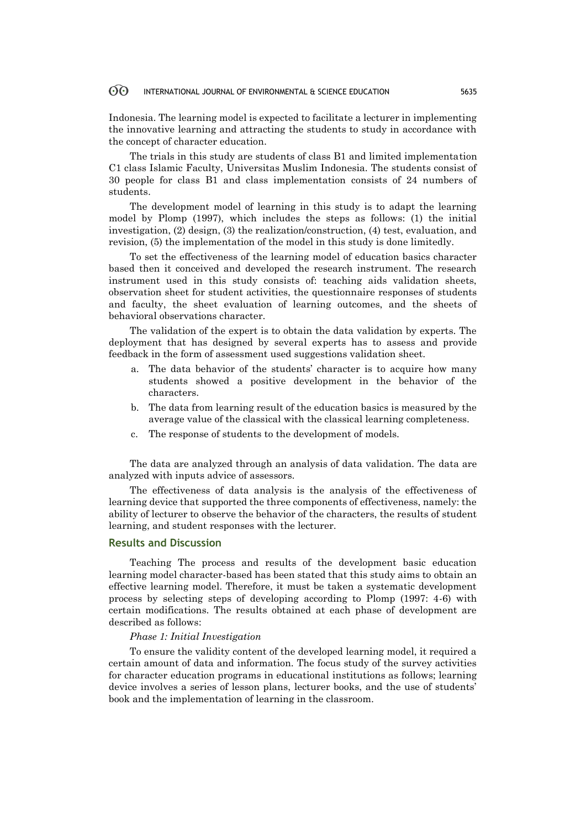#### 60 INTERNATIONAL JOURNAL OF ENVIRONMENTAL & SCIENCE EDUCATION 5635

Indonesia. The learning model is expected to facilitate a lecturer in implementing the innovative learning and attracting the students to study in accordance with the concept of character education.

The trials in this study are students of class B1 and limited implementation C1 class Islamic Faculty, Universitas Muslim Indonesia. The students consist of 30 people for class B1 and class implementation consists of 24 numbers of students.

The development model of learning in this study is to adapt the learning model by Plomp (1997), which includes the steps as follows: (1) the initial investigation, (2) design, (3) the realization/construction, (4) test, evaluation, and revision, (5) the implementation of the model in this study is done limitedly.

To set the effectiveness of the learning model of education basics character based then it conceived and developed the research instrument. The research instrument used in this study consists of: teaching aids validation sheets, observation sheet for student activities, the questionnaire responses of students and faculty, the sheet evaluation of learning outcomes, and the sheets of behavioral observations character.

The validation of the expert is to obtain the data validation by experts. The deployment that has designed by several experts has to assess and provide feedback in the form of assessment used suggestions validation sheet.

- The data behavior of the students' character is to acquire how many students showed a positive development in the behavior of the characters.
- b. The data from learning result of the education basics is measured by the average value of the classical with the classical learning completeness.
- c. The response of students to the development of models.

The data are analyzed through an analysis of data validation. The data are analyzed with inputs advice of assessors.

The effectiveness of data analysis is the analysis of the effectiveness of learning device that supported the three components of effectiveness, namely: the ability of lecturer to observe the behavior of the characters, the results of student learning, and student responses with the lecturer.

### **Results and Discussion**

Teaching The process and results of the development basic education learning model character-based has been stated that this study aims to obtain an effective learning model. Therefore, it must be taken a systematic development process by selecting steps of developing according to Plomp (1997: 4-6) with certain modifications. The results obtained at each phase of development are described as follows:

#### *Phase 1: Initial Investigation*

To ensure the validity content of the developed learning model, it required a certain amount of data and information. The focus study of the survey activities for character education programs in educational institutions as follows; learning device involves a series of lesson plans, lecturer books, and the use of students' book and the implementation of learning in the classroom.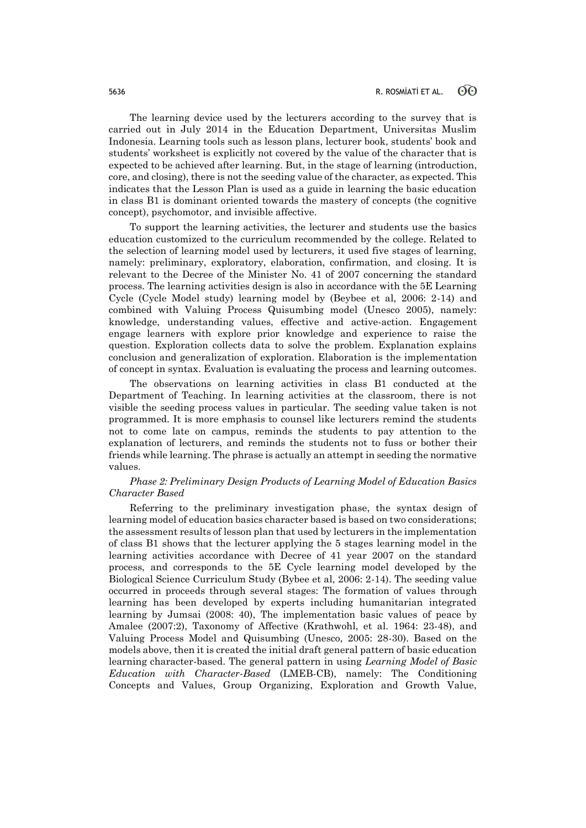The learning device used by the lecturers according to the survey that is carried out in July 2014 in the Education Department, Universitas Muslim Indonesia. Learning tools such as lesson plans, lecturer book, students' book and students' worksheet is explicitly not covered by the value of the character that is expected to be achieved after learning. But, in the stage of learning (introduction, core, and closing), there is not the seeding value of the character, as expected. This indicates that the Lesson Plan is used as a guide in learning the basic education in class B1 is dominant oriented towards the mastery of concepts (the cognitive concept), psychomotor, and invisible affective.

To support the learning activities, the lecturer and students use the basics education customized to the curriculum recommended by the college. Related to the selection of learning model used by lecturers, it used five stages of learning, namely: preliminary, exploratory, elaboration, confirmation, and closing. It is relevant to the Decree of the Minister No. 41 of 2007 concerning the standard process. The learning activities design is also in accordance with the 5E Learning Cycle (Cycle Model study) learning model by (Beybee et al, 2006: 2-14) and combined with Valuing Process Quisumbing model (Unesco 2005), namely: knowledge, understanding values, effective and active-action. Engagement engage learners with explore prior knowledge and experience to raise the question. Exploration collects data to solve the problem. Explanation explains conclusion and generalization of exploration. Elaboration is the implementation of concept in syntax. Evaluation is evaluating the process and learning outcomes.

The observations on learning activities in class B1 conducted at the Department of Teaching. In learning activities at the classroom, there is not visible the seeding process values in particular. The seeding value taken is not programmed. It is more emphasis to counsel like lecturers remind the students not to come late on campus, reminds the students to pay attention to the explanation of lecturers, and reminds the students not to fuss or bother their friends while learning. The phrase is actually an attempt in seeding the normative values.

# *Phase 2: Preliminary Design Products of Learning Model of Education Basics Character Based*

Referring to the preliminary investigation phase, the syntax design of learning model of education basics character based is based on two considerations; the assessment results of lesson plan that used by lecturers in the implementation of class B1 shows that the lecturer applying the 5 stages learning model in the learning activities accordance with Decree of 41 year 2007 on the standard process, and corresponds to the 5E Cycle learning model developed by the Biological Science Curriculum Study (Bybee et al, 2006: 2-14). The seeding value occurred in proceeds through several stages: The formation of values through learning has been developed by experts including humanitarian integrated learning by Jumsai (2008: 40), The implementation basic values of peace by Amalee (2007:2), Taxonomy of Affective (Krathwohl, et al. 1964: 23-48), and Valuing Process Model and Quisumbing (Unesco, 2005: 28-30). Based on the models above, then it is created the initial draft general pattern of basic education learning character-based. The general pattern in using *Learning Model of Basic Education with Character-Based* (LMEB-CB), namely: The Conditioning Concepts and Values, Group Organizing, Exploration and Growth Value,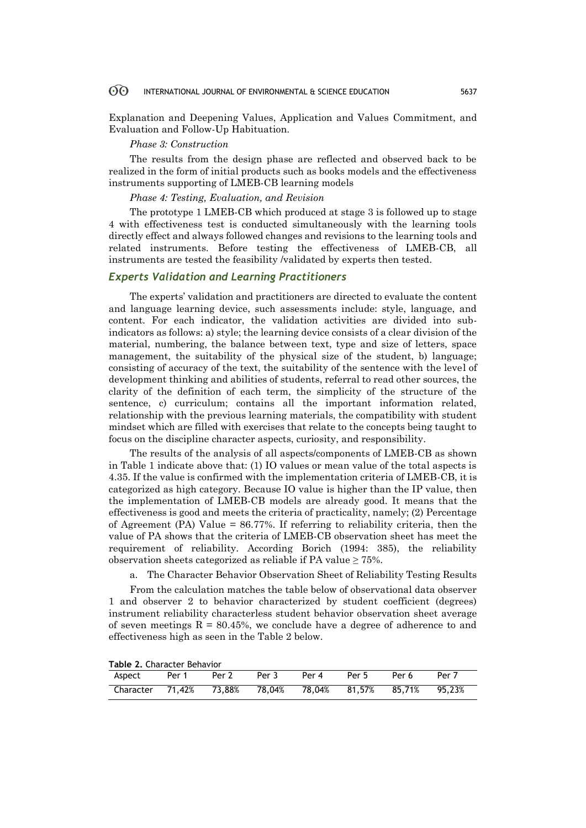#### 60 INTERNATIONAL JOURNAL OF ENVIRONMENTAL & SCIENCE EDUCATION 5637

Explanation and Deepening Values, Application and Values Commitment, and Evaluation and Follow-Up Habituation.

## *Phase 3: Construction*

The results from the design phase are reflected and observed back to be realized in the form of initial products such as books models and the effectiveness instruments supporting of LMEB-CB learning models

#### *Phase 4: Testing, Evaluation, and Revision*

The prototype 1 LMEB-CB which produced at stage 3 is followed up to stage 4 with effectiveness test is conducted simultaneously with the learning tools directly effect and always followed changes and revisions to the learning tools and related instruments. Before testing the effectiveness of LMEB-CB, all instruments are tested the feasibility /validated by experts then tested.

# *Experts Validation and Learning Practitioners*

The experts' validation and practitioners are directed to evaluate the content and language learning device, such assessments include: style, language, and content. For each indicator, the validation activities are divided into subindicators as follows: a) style; the learning device consists of a clear division of the material, numbering, the balance between text, type and size of letters, space management, the suitability of the physical size of the student, b) language; consisting of accuracy of the text, the suitability of the sentence with the level of development thinking and abilities of students, referral to read other sources, the clarity of the definition of each term, the simplicity of the structure of the sentence, c) curriculum; contains all the important information related, relationship with the previous learning materials, the compatibility with student mindset which are filled with exercises that relate to the concepts being taught to focus on the discipline character aspects, curiosity, and responsibility.

The results of the analysis of all aspects/components of LMEB-CB as shown in Table 1 indicate above that: (1) IO values or mean value of the total aspects is 4.35. If the value is confirmed with the implementation criteria of LMEB-CB, it is categorized as high category. Because IO value is higher than the IP value, then the implementation of LMEB-CB models are already good. It means that the effectiveness is good and meets the criteria of practicality, namely; (2) Percentage of Agreement (PA) Value = 86.77%. If referring to reliability criteria, then the value of PA shows that the criteria of LMEB-CB observation sheet has meet the requirement of reliability. According Borich (1994: 385), the reliability observation sheets categorized as reliable if PA value  $\geq 75\%$ .

a. The Character Behavior Observation Sheet of Reliability Testing Results

From the calculation matches the table below of observational data observer 1 and observer 2 to behavior characterized by student coefficient (degrees) instrument reliability characterless student behavior observation sheet average of seven meetings  $R = 80.45\%$ , we conclude have a degree of adherence to and effectiveness high as seen in the Table 2 below.

**Table 2.** Character Behavior

| $19000$ <b>E.</b> Character Dength $100$            |       |       |       |       |       |       |        |
|-----------------------------------------------------|-------|-------|-------|-------|-------|-------|--------|
| Aspect                                              | Per 1 | Per 2 | Per 3 | Per 4 | Per 5 | Per 6 | Per 7  |
| Character 71.42% 73.88% 78.04% 78.04% 81.57% 85.71% |       |       |       |       |       |       | 95.23% |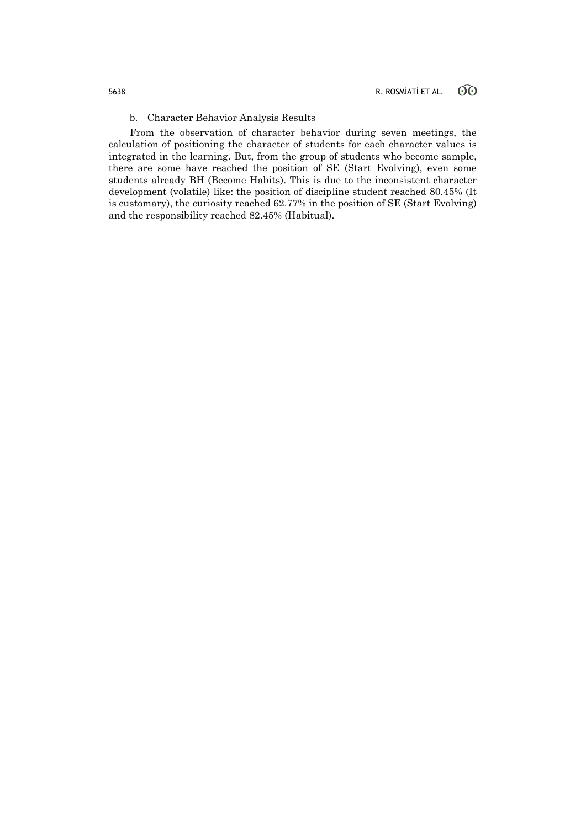# b. Character Behavior Analysis Results

From the observation of character behavior during seven meetings, the calculation of positioning the character of students for each character values is integrated in the learning. But, from the group of students who become sample, there are some have reached the position of SE (Start Evolving), even some students already BH (Become Habits). This is due to the inconsistent character development (volatile) like: the position of discipline student reached 80.45% (It is customary), the curiosity reached 62.77% in the position of SE (Start Evolving) and the responsibility reached 82.45% (Habitual).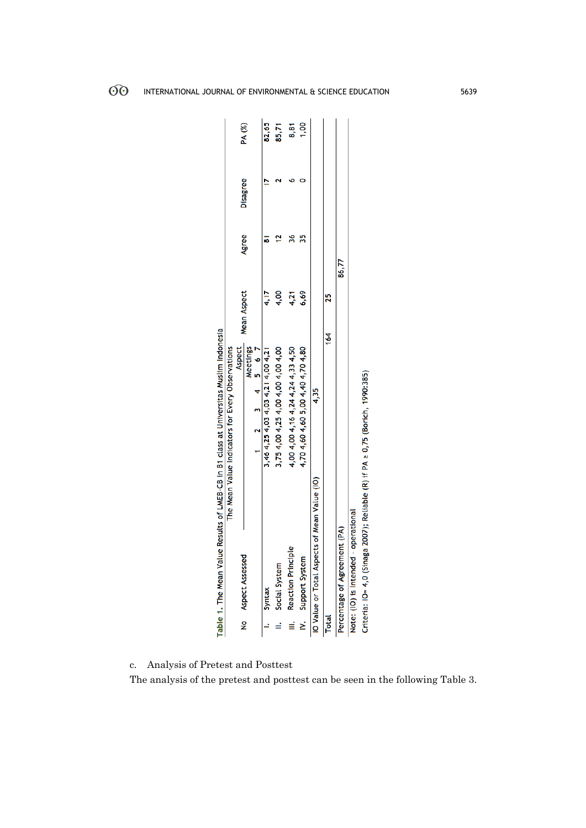|              | Table 1. The Mean Value Results of LMEB-CB in B1 class at Universitas Muslim Indonesia |                                                  |                    |       |          |               |
|--------------|----------------------------------------------------------------------------------------|--------------------------------------------------|--------------------|-------|----------|---------------|
|              |                                                                                        | The Mean Value Indicators for Every Observations |                    |       |          |               |
|              |                                                                                        | <b>Aspect</b>                                    | <b>Mean Aspect</b> |       |          |               |
|              | No<br>Aspect<br>Assessed                                                               | Meetings                                         |                    | Agree | Disagree | <b>PA</b> (%) |
|              |                                                                                        | $1 \t2 \t3 \t4 \t5 \t6 \t7$                      |                    |       |          |               |
|              | I. Syntax                                                                              | 3, 46 4, 25 4, 03 4, 03 4, 21 4, 00 4, 21        | 4.17               |       |          | 82,65         |
|              | II. Social System                                                                      | 3,75 4,00 4,25 4,00 4,00 4,00 4,00               | 4,00               |       |          | 85,71         |
|              | III. Reaction Principle                                                                | 4,00 4,00 4,16 4,24 4,24 4,33 4,50               | 4,21               | 36    |          |               |
|              | IV. Support System                                                                     | 4,70 4,60 4,60 5,00 4,40 4,70 4,80               | 6,69               | 35    |          | 8,81<br>1,00  |
|              | IO Value or Total Aspects of Mean Value (IO)                                           | 4.35                                             |                    |       |          |               |
| <b>Total</b> |                                                                                        | $\frac{4}{1}$                                    | 25                 |       |          |               |
|              | Percentage of Agreement (PA)                                                           |                                                  |                    | 86,77 |          |               |
|              | Note: (IO) is Intended - operational                                                   |                                                  |                    |       |          |               |
|              | Criteria: IO= 4,0 (Sinaga 2007); Reliable (R) if PA ≥ 0,75 (Borich, 1990:385)          |                                                  |                    |       |          |               |

c. Analysis of Pretest and Posttest

The analysis of the pretest and posttest can be seen in the following Table 3.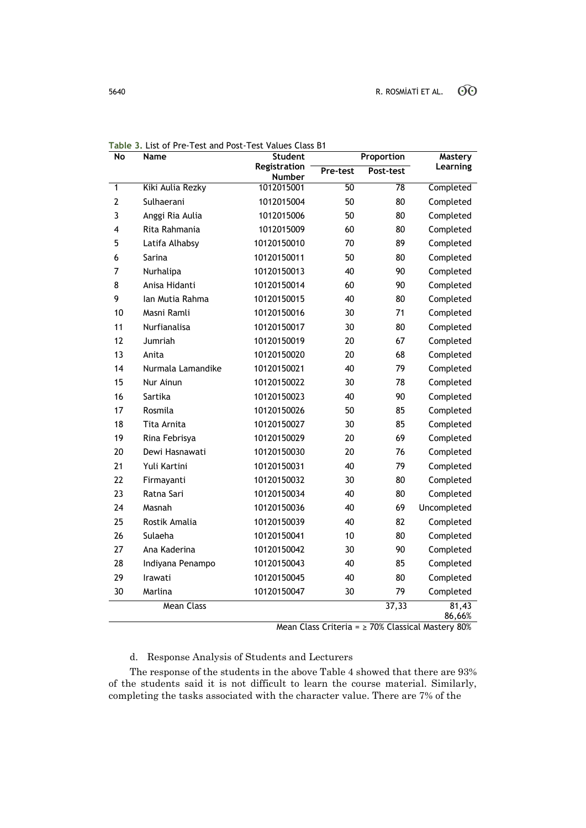| $\overline{N}$ | <b>Name</b>       | <b>Student</b>         | Proportion |                 | <b>Mastery</b>  |
|----------------|-------------------|------------------------|------------|-----------------|-----------------|
|                |                   | Registration<br>Number | Pre-test   | Post-test       | Learning        |
| 1              | Kiki Aulia Rezky  | 1012015001             | 50         | $\overline{78}$ | Completed       |
| $\overline{2}$ | Sulhaerani        | 1012015004             | 50         | 80              | Completed       |
| 3              | Anggi Ria Aulia   | 1012015006             | 50         | 80              | Completed       |
| 4              | Rita Rahmania     | 1012015009             | 60         | 80              | Completed       |
| 5              | Latifa Alhabsy    | 10120150010            | 70         | 89              | Completed       |
| 6              | Sarina            | 10120150011            | 50         | 80              | Completed       |
| 7              | Nurhalipa         | 10120150013            | 40         | 90              | Completed       |
| 8              | Anisa Hidanti     | 10120150014            | 60         | 90              | Completed       |
| 9              | Ian Mutia Rahma   | 10120150015            | 40         | 80              | Completed       |
| 10             | Masni Ramli       | 10120150016            | 30         | 71              | Completed       |
| 11             | Nurfianalisa      | 10120150017            | 30         | 80              | Completed       |
| 12             | Jumriah           | 10120150019            | 20         | 67              | Completed       |
| 13             | Anita             | 10120150020            | 20         | 68              | Completed       |
| 14             | Nurmala Lamandike | 10120150021            | 40         | 79              | Completed       |
| 15             | Nur Ainun         | 10120150022            | 30         | 78              | Completed       |
| 16             | Sartika           | 10120150023            | 40         | 90              | Completed       |
| 17             | Rosmila           | 10120150026            | 50         | 85              | Completed       |
| 18             | Tita Arnita       | 10120150027            | 30         | 85              | Completed       |
| 19             | Rina Febrisya     | 10120150029            | 20         | 69              | Completed       |
| 20             | Dewi Hasnawati    | 10120150030            | 20         | 76              | Completed       |
| 21             | Yuli Kartini      | 10120150031            | 40         | 79              | Completed       |
| 22             | Firmayanti        | 10120150032            | 30         | 80              | Completed       |
| 23             | Ratna Sari        | 10120150034            | 40         | 80              | Completed       |
| 24             | Masnah            | 10120150036            | 40         | 69              | Uncompleted     |
| 25             | Rostik Amalia     | 10120150039            | 40         | 82              | Completed       |
| 26             | Sulaeha           | 10120150041            | 10         | 80              | Completed       |
| 27             | Ana Kaderina      | 10120150042            | 30         | 90              | Completed       |
| 28             | Indiyana Penampo  | 10120150043            | 40         | 85              | Completed       |
| 29             | Irawati           | 10120150045            | 40         | 80              | Completed       |
| 30             | Marlina           | 10120150047            | 30         | 79              | Completed       |
|                | <b>Mean Class</b> |                        |            | 37,33           | 81,43<br>86,66% |

**Table 3.** List of Pre-Test and Post-Test Values Class B1

Mean Class Criteria = ≥ 70% Classical Mastery 80%

# d. Response Analysis of Students and Lecturers

The response of the students in the above Table 4 showed that there are 93% of the students said it is not difficult to learn the course material. Similarly, completing the tasks associated with the character value. There are 7% of the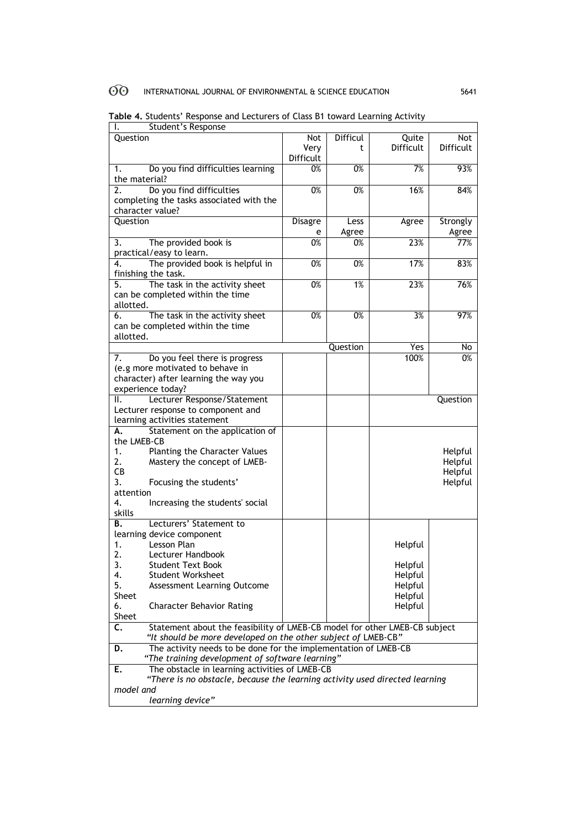#### $\odot$ INTERNATIONAL JOURNAL OF ENVIRONMENTAL & SCIENCE EDUCATION 5641

| Student's Response<br>ı.                                                         |                                                |                  |                  |                  |           |  |  |
|----------------------------------------------------------------------------------|------------------------------------------------|------------------|------------------|------------------|-----------|--|--|
| Question                                                                         |                                                | Not              | <b>Difficul</b>  | Quite            | Not       |  |  |
|                                                                                  |                                                | Very             | t                | <b>Difficult</b> | Difficult |  |  |
|                                                                                  |                                                | Difficult        |                  |                  |           |  |  |
| 1.                                                                               | Do you find difficulties learning              | 0%               | 0%               | 7%               | 93%       |  |  |
| the material?                                                                    |                                                |                  |                  |                  |           |  |  |
| 2.                                                                               | Do you find difficulties                       | 0%               | 0%               | 16%              | 84%       |  |  |
|                                                                                  | completing the tasks associated with the       |                  |                  |                  |           |  |  |
|                                                                                  | character value?                               |                  |                  |                  |           |  |  |
| <b>Ouestion</b>                                                                  |                                                |                  |                  |                  |           |  |  |
|                                                                                  |                                                | <b>Disagre</b>   | Less             | Agree            | Strongly  |  |  |
|                                                                                  |                                                | e                | Agree            |                  | Agree     |  |  |
| 3.                                                                               | The provided book is                           | 0%               | 0%               | 23%              | 77%       |  |  |
|                                                                                  | practical/easy to learn.                       |                  |                  |                  |           |  |  |
| 4.                                                                               | The provided book is helpful in                | 0%               | $\overline{0\%}$ | 17%              | 83%       |  |  |
|                                                                                  | finishing the task.                            |                  |                  |                  |           |  |  |
| 5.                                                                               | The task in the activity sheet                 | 0%               | 1%               | 23%              | 76%       |  |  |
|                                                                                  | can be completed within the time               |                  |                  |                  |           |  |  |
| allotted.                                                                        |                                                |                  |                  |                  |           |  |  |
| 6.                                                                               | The task in the activity sheet                 | $\overline{0\%}$ | $\overline{0\%}$ | 3%               | 97%       |  |  |
|                                                                                  | can be completed within the time               |                  |                  |                  |           |  |  |
| allotted.                                                                        |                                                |                  |                  |                  |           |  |  |
|                                                                                  |                                                |                  | Question         | Yes              | No        |  |  |
| 7.                                                                               | Do you feel there is progress                  |                  |                  | 100%             | 0%        |  |  |
|                                                                                  | (e.g more motivated to behave in               |                  |                  |                  |           |  |  |
|                                                                                  | character) after learning the way you          |                  |                  |                  |           |  |  |
|                                                                                  |                                                |                  |                  |                  |           |  |  |
|                                                                                  | experience today?                              |                  |                  |                  |           |  |  |
| Ш.                                                                               | Lecturer Response/Statement                    |                  |                  |                  | Question  |  |  |
|                                                                                  | Lecturer response to component and             |                  |                  |                  |           |  |  |
|                                                                                  | learning activities statement                  |                  |                  |                  |           |  |  |
| А.                                                                               | Statement on the application of                |                  |                  |                  |           |  |  |
| the LMEB-CB                                                                      |                                                |                  |                  |                  |           |  |  |
| 1.                                                                               | Planting the Character Values                  |                  |                  |                  | Helpful   |  |  |
| 2.                                                                               | Mastery the concept of LMEB-                   |                  |                  |                  | Helpful   |  |  |
| CВ                                                                               |                                                |                  |                  |                  | Helpful   |  |  |
| 3.                                                                               | Focusing the students'                         |                  |                  |                  | Helpful   |  |  |
| attention                                                                        |                                                |                  |                  |                  |           |  |  |
| 4.                                                                               | Increasing the students' social                |                  |                  |                  |           |  |  |
| skills                                                                           |                                                |                  |                  |                  |           |  |  |
| <b>B.</b>                                                                        | Lecturers' Statement to                        |                  |                  |                  |           |  |  |
|                                                                                  |                                                |                  |                  |                  |           |  |  |
|                                                                                  | learning device component<br>Lesson Plan       |                  |                  |                  |           |  |  |
| 1.                                                                               |                                                |                  |                  | Helpful          |           |  |  |
| 2.                                                                               | Lecturer Handbook                              |                  |                  |                  |           |  |  |
| 3.                                                                               | <b>Student Text Book</b>                       |                  |                  | Helpful          |           |  |  |
| 4.                                                                               | <b>Student Worksheet</b>                       |                  |                  | Helpful          |           |  |  |
| 5.                                                                               | Assessment Learning Outcome                    |                  |                  | Helpful          |           |  |  |
| Sheet                                                                            |                                                |                  |                  | Helpful          |           |  |  |
| 6.                                                                               | <b>Character Behavior Rating</b>               |                  |                  | Helpful          |           |  |  |
| Sheet                                                                            |                                                |                  |                  |                  |           |  |  |
| Statement about the feasibility of LMEB-CB model for other LMEB-CB subject<br>C. |                                                |                  |                  |                  |           |  |  |
| "It should be more developed on the other subject of LMEB-CB"                    |                                                |                  |                  |                  |           |  |  |
| The activity needs to be done for the implementation of LMEB-CB<br>D.            |                                                |                  |                  |                  |           |  |  |
| "The training development of software learning"                                  |                                                |                  |                  |                  |           |  |  |
| Е.                                                                               | The obstacle in learning activities of LMEB-CB |                  |                  |                  |           |  |  |
| "There is no obstacle, because the learning activity used directed learning      |                                                |                  |                  |                  |           |  |  |
| model and                                                                        |                                                |                  |                  |                  |           |  |  |
| learning device"                                                                 |                                                |                  |                  |                  |           |  |  |
|                                                                                  |                                                |                  |                  |                  |           |  |  |

**Table 4.** Students' Response and Lecturers of Class B1 toward Learning Activity

 $\overline{\phantom{0}}$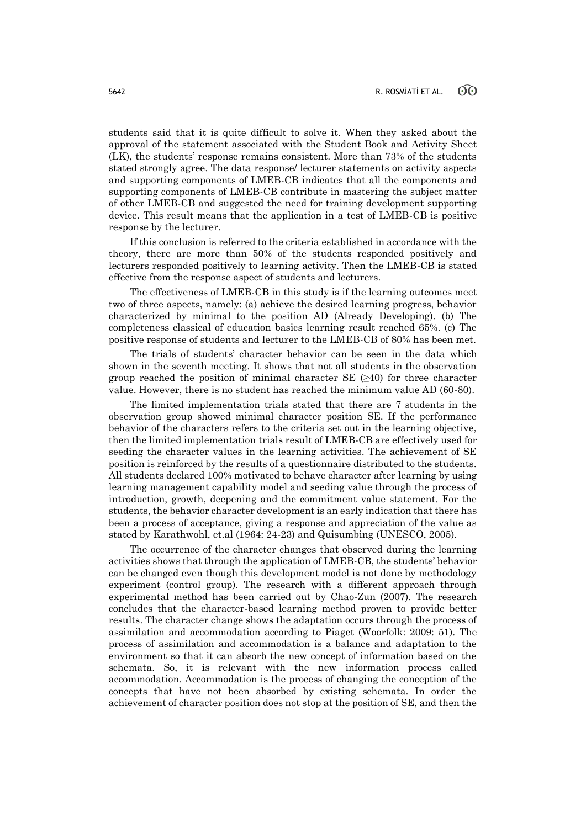students said that it is quite difficult to solve it. When they asked about the approval of the statement associated with the Student Book and Activity Sheet (LK), the students' response remains consistent. More than 73% of the students stated strongly agree. The data response/ lecturer statements on activity aspects and supporting components of LMEB-CB indicates that all the components and supporting components of LMEB-CB contribute in mastering the subject matter of other LMEB-CB and suggested the need for training development supporting device. This result means that the application in a test of LMEB-CB is positive response by the lecturer.

If this conclusion is referred to the criteria established in accordance with the theory, there are more than 50% of the students responded positively and lecturers responded positively to learning activity. Then the LMEB-CB is stated effective from the response aspect of students and lecturers.

The effectiveness of LMEB-CB in this study is if the learning outcomes meet two of three aspects, namely: (a) achieve the desired learning progress, behavior characterized by minimal to the position AD (Already Developing). (b) The completeness classical of education basics learning result reached 65%. (c) The positive response of students and lecturer to the LMEB-CB of 80% has been met.

The trials of students' character behavior can be seen in the data which shown in the seventh meeting. It shows that not all students in the observation group reached the position of minimal character SE  $(\geq 40)$  for three character value. However, there is no student has reached the minimum value AD (60-80).

The limited implementation trials stated that there are 7 students in the observation group showed minimal character position SE. If the performance behavior of the characters refers to the criteria set out in the learning objective, then the limited implementation trials result of LMEB-CB are effectively used for seeding the character values in the learning activities. The achievement of SE position is reinforced by the results of a questionnaire distributed to the students. All students declared 100% motivated to behave character after learning by using learning management capability model and seeding value through the process of introduction, growth, deepening and the commitment value statement. For the students, the behavior character development is an early indication that there has been a process of acceptance, giving a response and appreciation of the value as stated by Karathwohl, et.al (1964: 24-23) and Quisumbing (UNESCO, 2005).

The occurrence of the character changes that observed during the learning activities shows that through the application of LMEB-CB, the students' behavior can be changed even though this development model is not done by methodology experiment (control group). The research with a different approach through experimental method has been carried out by Chao-Zun (2007). The research concludes that the character-based learning method proven to provide better results. The character change shows the adaptation occurs through the process of assimilation and accommodation according to Piaget (Woorfolk: 2009: 51). The process of assimilation and accommodation is a balance and adaptation to the environment so that it can absorb the new concept of information based on the schemata. So, it is relevant with the new information process called accommodation. Accommodation is the process of changing the conception of the concepts that have not been absorbed by existing schemata. In order the achievement of character position does not stop at the position of SE, and then the